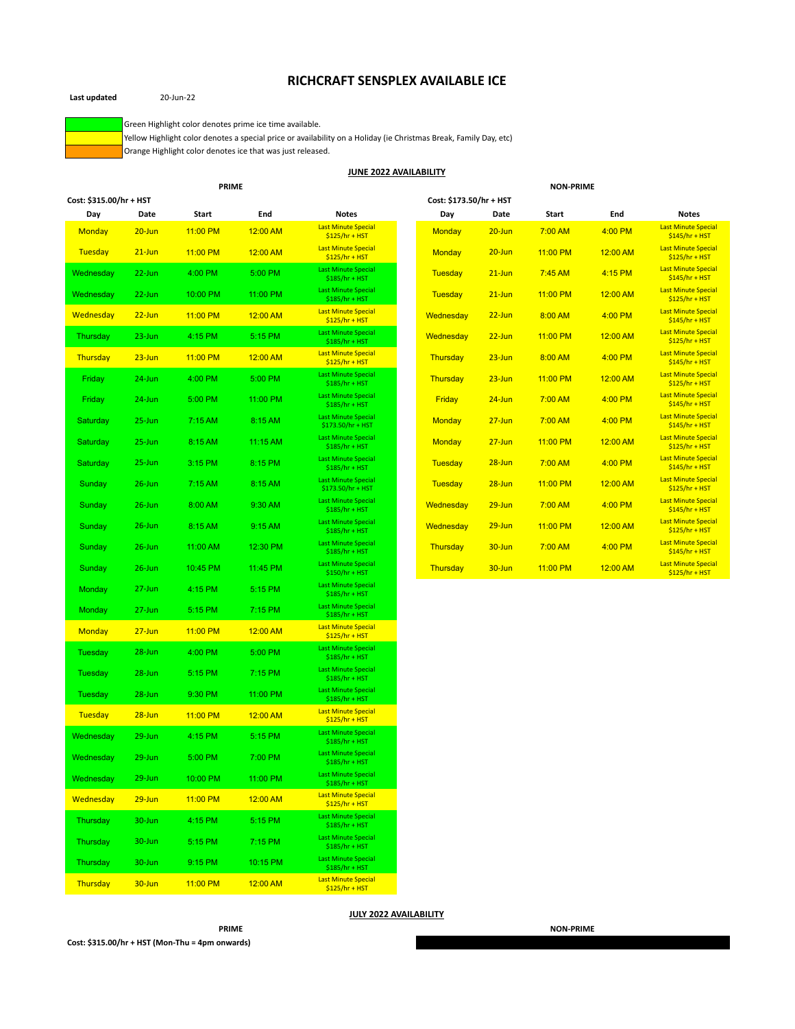# **RICHCRAFT SENSPLEX AVAILABLE ICE**



**Last updated** 20-Jun-22

Green Highlight color denotes prime ice time available.

Yellow Highlight color denotes a special price or availability on a Holiday (ie Christmas Break, Family Day, etc)

Orange Highlight color denotes ice that was just released.

## **JUNE 2022 AVAILABILITY**

| <b>PRIME</b>            |            |          |          |                                                 | <b>NON-PRIME</b> |                         |            |          |          |                                               |
|-------------------------|------------|----------|----------|-------------------------------------------------|------------------|-------------------------|------------|----------|----------|-----------------------------------------------|
| Cost: \$315.00/hr + HST |            |          |          |                                                 |                  | Cost: \$173.50/hr + HST |            |          |          |                                               |
| Day                     | Date       | Start    | End      | <b>Notes</b>                                    |                  | Day                     | Date       | Start    | End      | <b>Notes</b>                                  |
| Monday                  | $20 - Jun$ | 11:00 PM | 12:00 AM | Last Minute Special<br>$$125/hr + HST$          |                  | Monday                  | $20 - Jun$ | 7:00 AM  | 4:00 PM  | <b>Last Minute Special</b><br>$$145/hr + HST$ |
| Tuesday                 | $21$ -Jun  | 11:00 PM | 12:00 AM | <b>Last Minute Special</b><br>$$125/hr + HST$   |                  | Monday                  | $20 - Jun$ | 11:00 PM | 12:00 AM | <b>Last Minute Special</b><br>$$125/hr + HST$ |
| Wednesday               | $22 - Jun$ | 4:00 PM  | 5:00 PM  | <b>Last Minute Special</b><br>$$185/hr + HST$   |                  | Tuesday                 | $21$ -Jun  | 7:45 AM  | 4:15 PM  | <b>Last Minute Special</b><br>$$145/hr + HST$ |
| Wednesday               | $22$ -Jun  | 10:00 PM | 11:00 PM | <b>Last Minute Special</b><br>$$185/hr + HST$   |                  | Tuesday                 | $21$ -Jun  | 11:00 PM | 12:00 AM | <b>Last Minute Special</b><br>$$125/hr + HST$ |
| Wednesday               | $22 - Jun$ | 11:00 PM | 12:00 AM | <b>Last Minute Special</b><br>$$125/hr + HST$   |                  | Wednesday               | $22$ -Jun  | 8:00 AM  | 4:00 PM  | <b>Last Minute Special</b><br>$$145/hr + HST$ |
| Thursday                | $23 - Jun$ | 4:15 PM  | 5:15 PM  | <b>Last Minute Special</b><br>$$185/hr + HST$   |                  | Wednesday               | $22$ -Jun  | 11:00 PM | 12:00 AM | <b>Last Minute Special</b><br>$$125/hr + HST$ |
| Thursday                | $23 - Jun$ | 11:00 PM | 12:00 AM | <b>Last Minute Special</b><br>$$125/hr + HST$   |                  | Thursday                | $23 - Jun$ | 8:00 AM  | 4:00 PM  | <b>Last Minute Special</b><br>$$145/hr + HST$ |
| Friday                  | 24-Jun     | 4:00 PM  | 5:00 PM  | Last Minute Special<br>$$185/hr + HST$          |                  | Thursday                | $23 - Jun$ | 11:00 PM | 12:00 AM | <b>Last Minute Special</b><br>$$125/hr + HST$ |
| Friday                  | $24$ -Jun  | 5:00 PM  | 11:00 PM | <b>Last Minute Special</b><br>$$185/hr + HST$   |                  | Friday                  | $24 - Jun$ | 7:00 AM  | 4:00 PM  | <b>Last Minute Special</b><br>$$145/hr + HST$ |
| Saturday                | $25 - Jun$ | 7:15 AM  | 8:15 AM  | <b>Last Minute Special</b><br>\$173.50/hr + HST |                  | <b>Monday</b>           | $27 - Jun$ | 7:00 AM  | 4:00 PM  | <b>Last Minute Special</b><br>$$145/hr + HST$ |
| Saturday                | $25 - Jun$ | 8:15 AM  | 11:15 AM | Last Minute Special<br>$$185/hr + HST$          |                  | Monday                  | $27 - Jun$ | 11:00 PM | 12:00 AM | <b>Last Minute Special</b><br>$$125/hr + HST$ |
| Saturday                | $25 - Jun$ | 3:15 PM  | 8:15 PM  | <b>Last Minute Special</b><br>$$185/hr + HST$   |                  | Tuesday                 | $28 - Jun$ | 7:00 AM  | 4:00 PM  | <b>Last Minute Special</b><br>$$145/hr + HST$ |
| Sunday                  | $26$ -Jun  | 7:15AM   | 8:15 AM  | <b>Last Minute Special</b><br>\$173.50/hr + HST |                  | Tuesday                 | $28 - Jun$ | 11:00 PM | 12:00 AM | <b>Last Minute Special</b><br>$$125/hr + HST$ |
| Sunday                  | $26$ -Jun  | 8:00 AM  | 9:30 AM  | <b>Last Minute Special</b><br>$$185/hr + HST$   |                  | Wednesday               | $29 - Jun$ | 7:00 AM  | 4:00 PM  | <b>Last Minute Special</b><br>$$145/hr + HST$ |
| Sunday                  | $26$ -Jun  | 8:15 AM  | 9:15 AM  | Last Minute Special<br>$$185/hr + HST$          |                  | Wednesday               | $29 - Jun$ | 11:00 PM | 12:00 AM | <b>Last Minute Special</b><br>$$125/hr + HST$ |
| Sunday                  | $26$ -Jun  | 11:00 AM | 12:30 PM | <b>Last Minute Special</b><br>$$185/hr + HST$   |                  | Thursday                | $30 - Jun$ | 7:00 AM  | 4:00 PM  | <b>Last Minute Special</b><br>$$145/hr + HST$ |
| Sunday                  | $26$ -Jun  | 10:45 PM | 11:45 PM | <b>Last Minute Special</b><br>$$150/hr + HST$   |                  | Thursday                | $30 - Jun$ | 11:00 PM | 12:00 AM | <b>Last Minute Special</b><br>$$125/hr + HST$ |
| Monday                  | $27 - Jun$ | 4:15 PM  | 5:15 PM  | <b>Last Minute Special</b><br>$$185/hr + HST$   |                  |                         |            |          |          |                                               |
| Monday                  | $27 - Jun$ | 5:15 PM  | 7:15 PM  | <b>Last Minute Special</b><br>$$185/hr + HST$   |                  |                         |            |          |          |                                               |
| Monday                  | $27 - Jun$ | 11:00 PM | 12:00 AM | Last Minute Special<br>$$125/hr + HST$          |                  |                         |            |          |          |                                               |
| Tuesday                 | $28 - Jun$ | 4:00 PM  | 5:00 PM  | <b>Last Minute Special</b><br>$$185/hr + HST$   |                  |                         |            |          |          |                                               |
| Tuesday                 | 28-Jun     | 5:15 PM  | 7:15 PM  | <b>Last Minute Special</b><br>$$185/hr + HST$   |                  |                         |            |          |          |                                               |
| Tuesday                 | 28-Jun     | 9:30 PM  | 11:00 PM | <b>Last Minute Special</b><br>$$185/hr + HST$   |                  |                         |            |          |          |                                               |
| Tuesday                 | $28 - Jun$ | 11:00 PM | 12:00 AM | <b>Last Minute Special</b><br>$$125/hr + HST$   |                  |                         |            |          |          |                                               |
| Wednesday               | $29 - Jun$ | 4:15 PM  | 5:15 PM  | <b>Last Minute Special</b><br>$$185/hr + HST$   |                  |                         |            |          |          |                                               |
| Wednesday               | 29-Jun     | 5:00 PM  | 7:00 PM  | <b>Last Minute Special</b><br>$$185/hr + HST$   |                  |                         |            |          |          |                                               |
| Wednesday               | 29-Jun     | 10:00 PM | 11:00 PM | Last Minute Special<br>$$185/hr + HST$          |                  |                         |            |          |          |                                               |
| Wednesday               | $29 - Jun$ | 11:00 PM | 12:00 AM | <b>Last Minute Special</b><br>$$125/hr + HST$   |                  |                         |            |          |          |                                               |
| Thursday                | 30-Jun     | 4:15 PM  | 5:15 PM  | <b>Last Minute Special</b><br>$$185/hr + HST$   |                  |                         |            |          |          |                                               |
| Thursday                | 30-Jun     | 5:15 PM  | 7:15 PM  | <b>Last Minute Special</b><br>$$185/hr + HST$   |                  |                         |            |          |          |                                               |

**JULY 2022 AVAILABILITY**

**PRIME NON-PRIME**

**Cost: \$315.00/hr + HST (Mon-Thu = 4pm onwards)**

Thursday 30-Jun 9:15 PM 10:15 PM Last Minute Special \$185/hr + HST Thursday 30-Jun 11:00 PM 12:00 AM Last Minute Special<br>\$125/hr + HST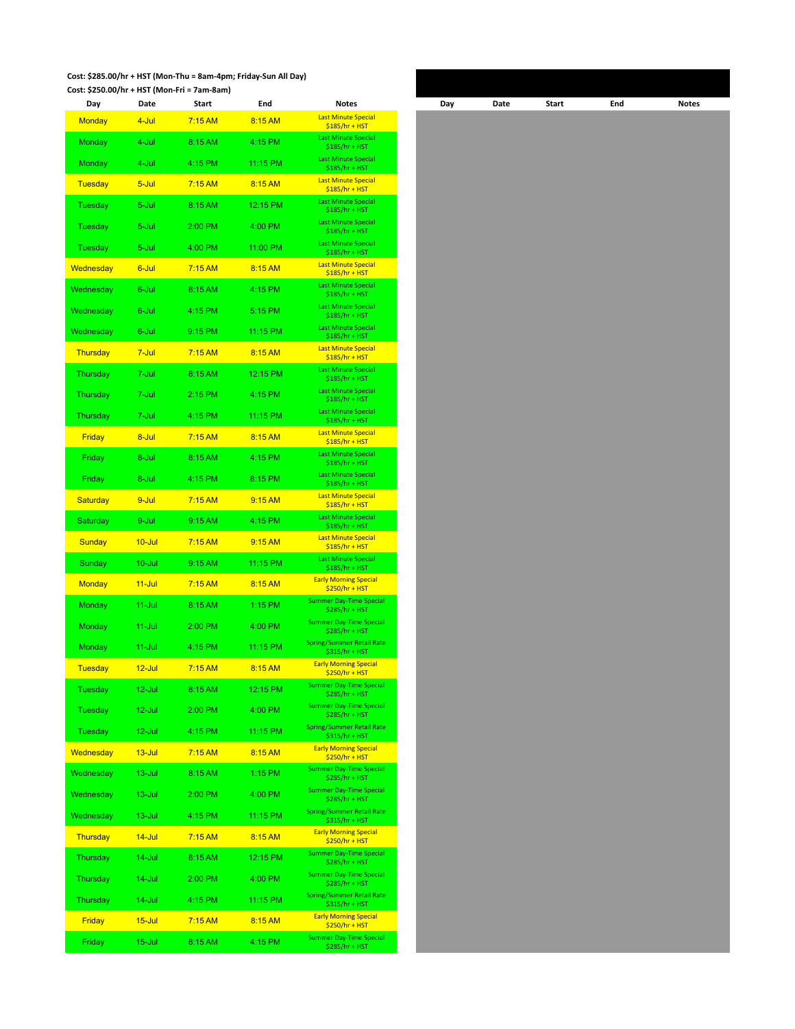#### **Cost: \$285.00/hr + HST (Mon-Thu = 8am-4pm; Friday-Sun All Day) Cost: \$250.00/hr + HST (Mon-Fri = 7am-8am)**

| Day              | Date       | Start     | End       | <b>Notes</b>                                       | Day | Date | Start | End | Notes |
|------------------|------------|-----------|-----------|----------------------------------------------------|-----|------|-------|-----|-------|
| <b>Monday</b>    | 4-Jul      | 7:15AM    | 8:15 AM   | <b>Last Minute Special</b><br>$$185/hr + HST$      |     |      |       |     |       |
| Monday           | 4-Jul      | 8:15 AM   | 4:15 PM   | <b>Last Minute Special</b><br>$$185/hr + HST$      |     |      |       |     |       |
| Monday           | 4-Jul      | 4:15 PM   | 11:15 PM  | <b>Last Minute Special</b><br>\$185/hr + HST       |     |      |       |     |       |
| <b>Tuesday</b>   | 5-Jul      | 7:15 AM   | 8:15 AM   | <b>Last Minute Special</b><br>$$185/hr + HST$      |     |      |       |     |       |
| Tuesday          | 5-Jul      | 8:15 AM   | 12:15 PM  | <b>Last Minute Special</b>                         |     |      |       |     |       |
| Tuesday          | 5-Jul      | 2:00 PM   | 4:00 PM   | \$185/hr + HST<br><b>Last Minute Special</b>       |     |      |       |     |       |
| Tuesday          | 5-Jul      | 4:00 PM   | 11:00 PM  | \$185/hr + HST<br><b>Last Minute Special</b>       |     |      |       |     |       |
| <b>Wednesday</b> | 6-Jul      | $7:15$ AM | 8:15 AM   | \$185/hr + HST<br><b>Last Minute Special</b>       |     |      |       |     |       |
| Wednesday        | 6-Jul      | 8:15 AM   | 4:15 PM   | $$185/hr + HST$<br><b>Last Minute Special</b>      |     |      |       |     |       |
|                  |            |           |           | $$185/hr + HST$<br><b>Last Minute Special</b>      |     |      |       |     |       |
| Wednesday        | 6-Jul      | 4:15 PM   | 5:15 PM   | \$185/hr + HST<br><b>Last Minute Special</b>       |     |      |       |     |       |
| Wednesday        | 6-Jul      | 9:15 PM   | 11:15 PM  | \$185/hr + HST<br><b>Last Minute Special</b>       |     |      |       |     |       |
| Thursday         | 7-Jul      | 7:15 AM   | 8:15 AM   | $$185/hr + HST$                                    |     |      |       |     |       |
| Thursday         | 7-Jul      | 8:15 AM   | 12:15 PM  | <b>Last Minute Special</b><br>\$185/hr + HST       |     |      |       |     |       |
| Thursday         | 7-Jul      | 2:15 PM   | 4:15 PM   | <b>Last Minute Special</b><br>$$185/hr + HST$      |     |      |       |     |       |
| Thursday         | 7-Jul      | 4:15 PM   | 11:15 PM  | <b>Last Minute Special</b><br>$$185/hr + HST$      |     |      |       |     |       |
| Friday           | 8-Jul      | 7:15 AM   | 8:15 AM   | <b>Last Minute Special</b><br>$$185/hr + HST$      |     |      |       |     |       |
| Friday           | 8-Jul      | 8:15 AM   | 4:15 PM   | <b>Last Minute Special</b><br>$$185/hr + HST$      |     |      |       |     |       |
| Friday           | 8-Jul      | 4:15 PM   | 8:15 PM   | <b>Last Minute Special</b><br>\$185/hr + HST       |     |      |       |     |       |
| Saturday         | 9-Jul      | 7:15 AM   | 9:15 AM   | <b>Last Minute Special</b><br>$$185/hr + HST$      |     |      |       |     |       |
| Saturday         | 9-Jul      | 9:15 AM   | 4:15 PM   | <b>Last Minute Special</b><br>$$185/hr + HST$      |     |      |       |     |       |
| <b>Sunday</b>    | $10 -$ Jul | 7:15 AM   | 9:15 AM   | <b>Last Minute Special</b><br>$$185/hr + HST$      |     |      |       |     |       |
| Sunday           | $10 -$ Jul | 9:15 AM   | 11:15 PM  | <b>Last Minute Special</b><br>$$185/hr + HST$      |     |      |       |     |       |
| <b>Monday</b>    | $11 -$ Jul | 7:15 AM   | 8:15 AM   | <b>Early Morning Special</b><br>\$250/hr + HST     |     |      |       |     |       |
| Monday           | $11 -$ Jul | 8:15 AM   | $1:15$ PM | <b>Summer Day-Time Special</b><br>$$285/hr + HST$  |     |      |       |     |       |
| Monday           | $11 -$ Jul | 2:00 PM   | 4:00 PM   | <b>Summer Day-Time Special</b><br>\$285/hr + HST   |     |      |       |     |       |
| <b>Monday</b>    | $11 -$ Jul | 4:15 PM   | 11:15 PM  | <b>Spring/Summer Retail Rate</b><br>\$315/hr + HST |     |      |       |     |       |
| <b>Tuesday</b>   | $12$ -Jul  | $7:15$ AM | 8:15 AM   | <b>Early Morning Special</b>                       |     |      |       |     |       |
| <b>Tuesday</b>   | 12-Jul     | 8:15 AM   | 12:15 PM  | $$250/hr + HST$<br><b>Summer Day-Time Special</b>  |     |      |       |     |       |
| Tuesday          | 12-Jul     | 2:00 PM   | 4:00 PM   | \$285/hr + HST<br><b>Summer Day-Time Special</b>   |     |      |       |     |       |
| Tuesday          | $12$ -Jul  | 4:15 PM   | 11:15 PM  | \$285/hr + HST<br><b>Spring/Summer Retail Rate</b> |     |      |       |     |       |
| Wednesday        | $13 -$ Jul | 7:15 AM   | 8:15 AM   | $$315/hr + HST$<br><b>Early Morning Special</b>    |     |      |       |     |       |
| Wednesday        | $13 -$ Jul | 8:15 AM   | 1:15 PM   | $$250/hr + HST$<br><b>Summer Day-Time Special</b>  |     |      |       |     |       |
| Wednesday        | $13 -$ Jul | 2:00 PM   | 4:00 PM   | \$285/hr + HST<br><b>Summer Day-Time Special</b>   |     |      |       |     |       |
|                  |            |           | 11:15 PM  | \$285/hr + HST<br><b>Spring/Summer Retail Rate</b> |     |      |       |     |       |
| Wednesday        | $13 -$ Jul | 4:15 PM   |           | \$315/hr + HST<br><b>Early Morning Special</b>     |     |      |       |     |       |
| Thursday         | $14 -$ Jul | 7:15 AM   | 8:15 AM   | $$250/hr + HST$<br><b>Summer Day-Time Special</b>  |     |      |       |     |       |
| Thursday         | $14$ -Jul  | 8:15 AM   | 12:15 PM  | \$285/hr + HST<br><b>Summer Day-Time Special</b>   |     |      |       |     |       |
| Thursday         | $14$ -Jul  | 2:00 PM   | 4:00 PM   | \$285/hr + HST                                     |     |      |       |     |       |
| Thursday         | 14-Jul     | 4:15 PM   | 11:15 PM  | <b>Spring/Summer Retail Rate</b><br>\$315/hr + HST |     |      |       |     |       |
| Friday           | $15 -$ Jul | 7:15 AM   | 8:15 AM   | <b>Early Morning Special</b><br>\$250/hr + HST     |     |      |       |     |       |
| Friday           | $15 -$ Jul | 8:15 AM   | 4:15 PM   | <b>Summer Day-Time Special</b><br>$$285/hr + HST$  |     |      |       |     |       |

| Day | Date | Start | End | Notes |
|-----|------|-------|-----|-------|
|     |      |       |     |       |
|     |      |       |     |       |
|     |      |       |     |       |
|     |      |       |     |       |
|     |      |       |     |       |
|     |      |       |     |       |
|     |      |       |     |       |
|     |      |       |     |       |
|     |      |       |     |       |
|     |      |       |     |       |
|     |      |       |     |       |
|     |      |       |     |       |
|     |      |       |     |       |
|     |      |       |     |       |
|     |      |       |     |       |
|     |      |       |     |       |
|     |      |       |     |       |
|     |      |       |     |       |
|     |      |       |     |       |
|     |      |       |     |       |
|     |      |       |     |       |
|     |      |       |     |       |
|     |      |       |     |       |
|     |      |       |     |       |
|     |      |       |     |       |
|     |      |       |     |       |
|     |      |       |     |       |
|     |      |       |     |       |
|     |      |       |     |       |
|     |      |       |     |       |
|     |      |       |     |       |
|     |      |       |     |       |
|     |      |       |     |       |
|     |      |       |     |       |
|     |      |       |     |       |
|     |      |       |     |       |
|     |      |       |     |       |
|     |      |       |     |       |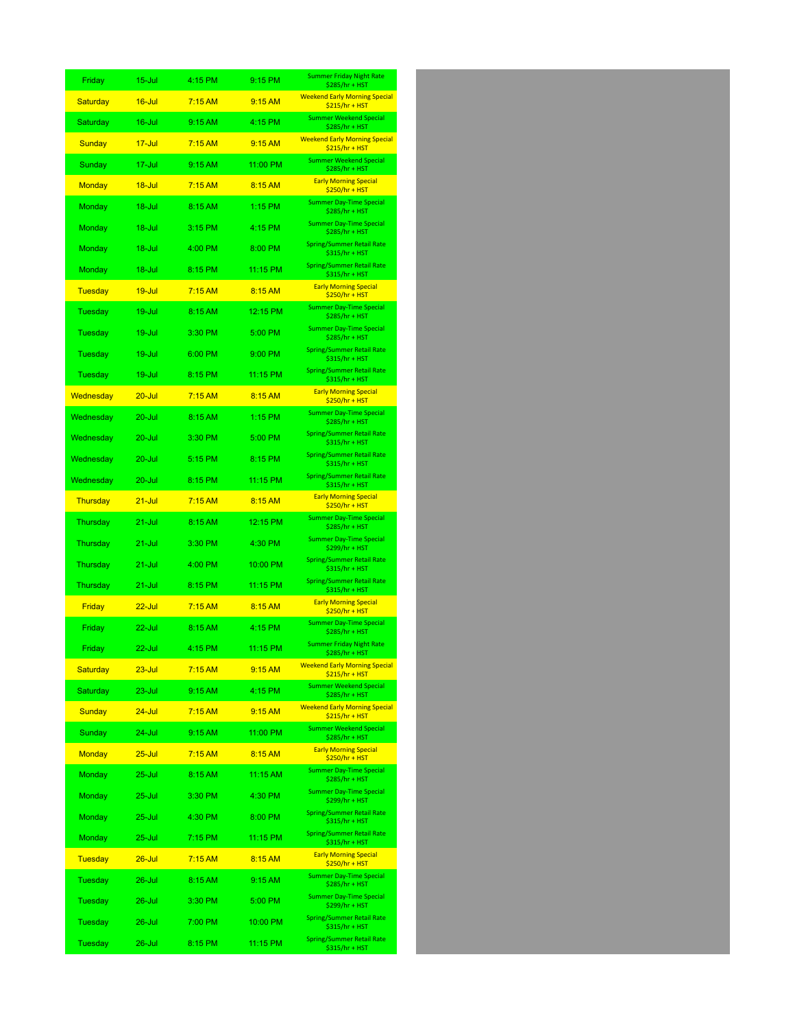| Friday          | 15-Jul     | 4:15 PM   | 9:15 PM   | <b>Summer Friday Night Rate</b><br>\$285/hr + HST       |
|-----------------|------------|-----------|-----------|---------------------------------------------------------|
| Saturday        | $16 -$ Jul | 7:15AM    | 9:15 AM   | <b>Weekend Early Morning Special</b><br>$$215/hr + HST$ |
| Saturday        | 16-Jul     | 9:15 AM   | 4:15 PM   | <b>Summer Weekend Special</b><br>\$285/hr + HST         |
| <b>Sunday</b>   | $17 -$ Jul | 7:15 AM   | 9:15 AM   | <b>Weekend Early Morning Special</b><br>$$215/hr + HST$ |
| Sunday          | 17-Jul     | 9:15 AM   | 11:00 PM  | <b>Summer Weekend Special</b><br>\$285/hr + HST         |
| <b>Monday</b>   | $18 -$ Jul | 7:15AM    | 8:15 AM   | <b>Early Morning Special</b><br>$$250/hr + HST$         |
| Monday          | 18-Jul     | 8:15 AM   | $1:15$ PM | <b>Summer Day-Time Special</b><br>\$285/hr + HST        |
| Monday          | 18-Jul     | 3:15 PM   | 4:15 PM   | <b>Summer Day-Time Special</b><br>\$285/hr + HST        |
| Monday          | 18-Jul     | 4:00 PM   | 8:00 PM   | Spring/Summer Retail Rate<br>\$315/hr + HST             |
| Monday          | 18-Jul     | 8:15 PM   | 11:15 PM  | <b>Spring/Summer Retail Rate</b><br>\$315/hr + HST      |
| <b>Tuesday</b>  | $19 -$ Jul | 7:15 AM   | 8:15 AM   | <b>Early Morning Special</b><br>$$250/hr + HST$         |
| Tuesday         | $19 -$ Jul | 8:15 AM   | 12:15 PM  | <b>Summer Day-Time Special</b><br>\$285/hr + HST        |
| Tuesday         | 19-Jul     | 3:30 PM   | 5:00 PM   | <b>Summer Day-Time Special</b><br>\$285/hr + HST        |
| Tuesday         | 19-Jul     | 6:00 PM   | 9:00 PM   | <b>Spring/Summer Retail Rate</b><br>\$315/hr + HST      |
| Tuesday         | 19-Jul     | 8:15 PM   | 11:15 PM  | <b>Spring/Summer Retail Rate</b><br>\$315/hr + HST      |
| Wednesday       | $20 -$ Jul | 7:15AM    | 8:15 AM   | <b>Early Morning Special</b><br>\$250/hr + HST          |
| Wednesday       | 20-Jul     | 8:15 AM   | 1:15 PM   | <b>Summer Day-Time Special</b><br>\$285/hr + HST        |
| Wednesday       | $20 -$ Jul | 3:30 PM   | 5:00 PM   | <b>Spring/Summer Retail Rate</b><br>\$315/hr + HST      |
| Wednesday       | 20-Jul     | 5:15 PM   | 8:15 PM   | Spring/Summer Retail Rate<br>\$315/hr + HST             |
| Wednesday       | 20-Jul     | 8:15 PM   | 11:15 PM  | Spring/Summer Retail Rate<br>\$315/hr + HST             |
| <b>Thursday</b> | $21 -$ Jul | 7:15 AM   | 8:15 AM   | <b>Early Morning Special</b><br>$$250/hr + HST$         |
| Thursday        | $21 -$ Jul | 8:15 AM   | 12:15 PM  | <b>Summer Day-Time Special</b><br>\$285/hr + HST        |
| Thursday        | 21-Jul     | 3:30 PM   | 4:30 PM   | <b>Summer Day-Time Special</b><br>\$299/hr + HST        |
| Thursday        | 21-Jul     | 4:00 PM   | 10:00 PM  | <b>Spring/Summer Retail Rate</b><br>\$315/hr + HST      |
| Thursday        | 21-Jul     | 8:15 PM   | 11:15 PM  | Spring/Summer Retail Rate<br>\$315/hr + HST             |
| <b>Friday</b>   | $22$ -Jul  | 7:15AM    | 8:15 AM   | <b>Early Morning Special</b><br>$$250/hr + HST$         |
| Friday          | 22-Jul     | 8:15 AM   | 4:15 PM   | <b>Summer Day-Time Special</b><br>\$285/hr + HST        |
| Fridav          | 22-Jul     | 4:15 PM   | 11:15 PM  | <b>Summer Friday Night Rate</b><br>$$285/hr + HST$      |
| Saturday        | $23 -$ Jul | 7:15AM    | 9:15 AM   | <b>Weekend Early Morning Special</b><br>$$215/hr + HST$ |
| Saturday        | 23-Jul     | 9:15 AM   | 4:15 PM   | <b>Summer Weekend Special</b><br>\$285/hr + HST         |
| <b>Sunday</b>   | $24 -$ Jul | $7:15$ AM | 9:15 AM   | <b>Weekend Early Morning Special</b><br>$$215/hr + HST$ |
| Sunday          | 24-Jul     | 9:15 AM   | 11:00 PM  | <b>Summer Weekend Special</b><br>\$285/hr + HST         |
| <b>Monday</b>   | $25 -$ Jul | $7:15$ AM | 8:15 AM   | <b>Early Morning Special</b><br>$$250/hr + HST$         |
| <b>Monday</b>   | $25 -$ Jul | 8:15 AM   | 11:15 AM  | <b>Summer Day-Time Special</b><br>\$285/hr + HST        |
| <b>Monday</b>   | 25-Jul     | 3:30 PM   | 4:30 PM   | <b>Summer Day-Time Special</b><br>\$299/hr + HST        |
| Monday          | $25 -$ Jul | 4:30 PM   | 8:00 PM   | Spring/Summer Retail Rate<br>\$315/hr + HST             |
| Monday          | $25 -$ Jul | 7:15 PM   | 11:15 PM  | Spring/Summer Retail Rate<br>\$315/hr + HST             |
| <b>Tuesday</b>  | $26 -$ Jul | $7:15$ AM | 8:15 AM   | <b>Early Morning Special</b><br>\$250/hr + HST          |
| <b>Tuesday</b>  | $26$ -Jul  | 8:15 AM   | 9:15 AM   | <b>Summer Day-Time Special</b><br>\$285/hr + HST        |
| Tuesday         | 26-Jul     | 3:30 PM   | 5:00 PM   | <b>Summer Day-Time Special</b><br>\$299/hr + HST        |
| Tuesday         | $26 -$ Jul | 7:00 PM   | 10:00 PM  | <b>Spring/Summer Retail Rate</b><br>\$315/hr + HST      |
| <b>Tuesday</b>  | $26 -$ Jul | 8:15 PM   | 11:15 PM  | Spring/Summer Retail Rate<br>\$315/hr + HST             |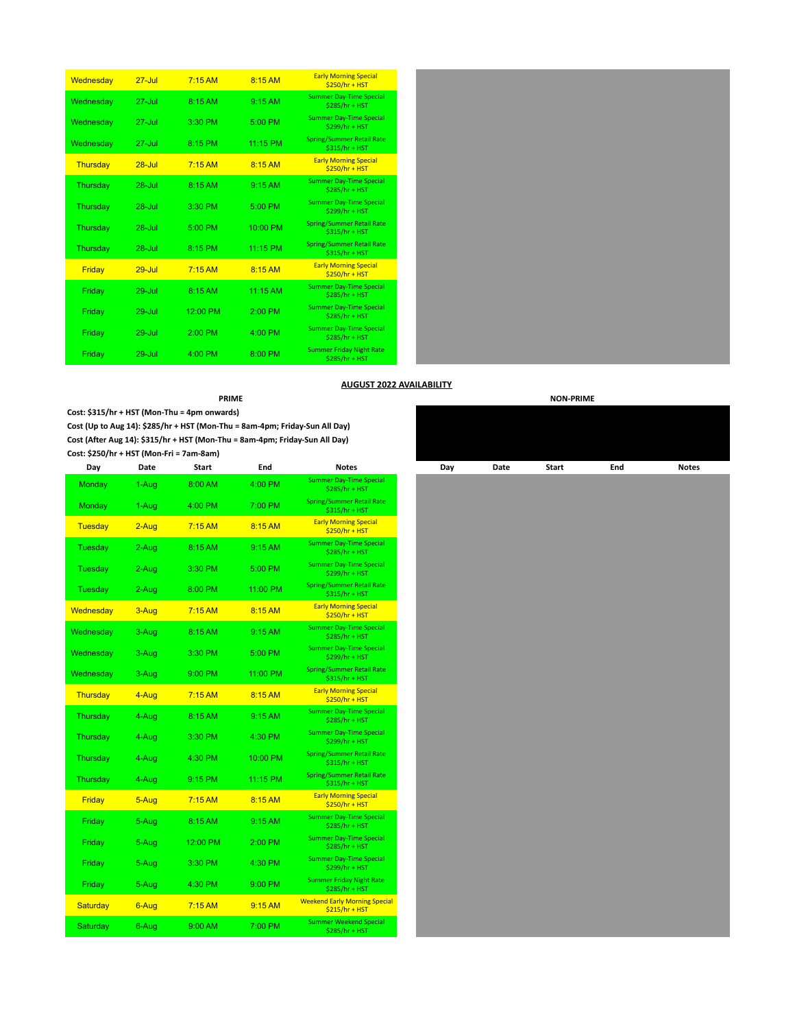| Wednesday | $27 -$ Jul        | $7:15$ AM | 8:15 AM    | <b>Early Morning Special</b><br>\$250/hr + HST     |
|-----------|-------------------|-----------|------------|----------------------------------------------------|
| Wednesday | $27 -$ <b>Inf</b> | $8.15$ AM | 9.15AM     | <b>Summer Day-Time Special</b><br>\$285/hr + HST   |
| Wednesday | $27 -$ Jul        | 3:30 PM   | 5:00 PM    | <b>Summer Day-Time Special</b><br>\$299/hr + HST   |
| Wednesday | $27 -$ Jul        | 8:15 PM   | 11:15 PM   | <b>Spring/Summer Retail Rate</b><br>\$315/hr + HST |
| Thursday  | $28 -$ Jul        | $7:15$ AM | $8:15$ AM  | <b>Early Morning Special</b><br>$$250/hr + HST$    |
| Thursday  | $28 -$ Jul        | 8:15 AM   | 9:15AM     | <b>Summer Day-Time Special</b><br>\$285/hr + HST   |
| Thursday  | $28 -$ Jul        | 3:30 PM   | 5:00 PM    | <b>Summer Day-Time Special</b><br>\$299/hr + HST   |
| Thursday  | $28 -$ Jul        | 5:00 PM   | 10:00 PM   | <b>Spring/Summer Retail Rate</b><br>\$315/hr + HST |
| Thursday  | $28 -$ Jul        | 8:15 PM   | 11:15 PM   | <b>Spring/Summer Retail Rate</b><br>\$315/hr + HST |
| Friday    | $29 -$ Jul        | $7:15$ AM | 8:15 AM    | <b>Early Morning Special</b><br>$$250/hr + HST$    |
| Friday    | $29 -$ Jul        | 8:15 AM   | $11:15$ AM | <b>Summer Day-Time Special</b><br>\$285/hr + HST   |
| Friday    | $29 -$ Jul        | 12:00 PM  | $2:00$ PM  | <b>Summer Day-Time Special</b><br>\$285/hr + HST   |
| Friday    | $29 -$ Jul        | $2:00$ PM | $4:00$ PM  | <b>Summer Day-Time Special</b><br>$$285/hr + HST$  |
| Friday    | $29 -$ Jul        | $4:00$ PM | 8:00 PM    | <b>Summer Friday Night Rate</b><br>\$285/hr + HST  |



# **AUGUST 2022 AVAILABILITY**

**Cost: \$315/hr + HST (Mon-Thu = 4pm onwards)**

**Cost (Up to Aug 14): \$285/hr + HST (Mon-Thu = 8am-4pm; Friday-Sun All Day) Cost (After Aug 14): \$315/hr + HST (Mon-Thu = 8am-4pm; Friday-Sun All Day) Cost: \$250/hr + HST (Mon-Fri = 7am-8am)**

| Day             | Date    | <b>Start</b> | End      | <b>Notes</b>                                            |
|-----------------|---------|--------------|----------|---------------------------------------------------------|
| Monday          | 1-Aug   | 8:00 AM      | 4:00 PM  | <b>Summer Day-Time Special</b><br>\$285/hr + HST        |
| Monday          | 1-Aug   | $4:00$ PM    | 7:00 PM  | <b>Spring/Summer Retail Rate</b><br>\$315/hr + HST      |
| <b>Tuesday</b>  | $2-Aug$ | 7:15AM       | 8:15 AM  | <b>Early Morning Special</b><br>$$250/hr + HST$         |
| Tuesday         | 2-Aug   | 8:15 AM      | 9:15AM   | <b>Summer Day-Time Special</b><br>\$285/hr + HST        |
| Tuesday         | 2-Aug   | 3:30 PM      | 5:00 PM  | <b>Summer Day-Time Special</b><br>\$299/hr + HST        |
| <b>Tuesday</b>  | 2-Aug   | 8:00 PM      | 11:00 PM | <b>Spring/Summer Retail Rate</b><br>\$315/hr + HST      |
| Wednesday       | 3-Aug   | 7:15AM       | 8:15 AM  | <b>Early Morning Special</b><br>\$250/hr + HST          |
| Wednesday       | 3-Aug   | 8:15 AM      | 9:15AM   | <b>Summer Day-Time Special</b><br>\$285/hr + HST        |
| Wednesday       | 3-Aug   | 3:30 PM      | 5:00 PM  | <b>Summer Day-Time Special</b><br>$$299/hr + HST$       |
| Wednesday       | 3-Aug   | 9:00 PM      | 11:00 PM | <b>Spring/Summer Retail Rate</b><br>\$315/hr + HST      |
| Thursday        | 4-Aug   | $7:15$ AM    | 8:15AM   | <b>Early Morning Special</b><br>\$250/hr + HST          |
| Thursday        | 4-Aug   | 8:15 AM      | 9:15AM   | <b>Summer Day-Time Special</b><br>\$285/hr + HST        |
| Thursday        | 4-Aug   | 3:30 PM      | 4:30 PM  | <b>Summer Day-Time Special</b><br>\$299/hr + HST        |
| Thursday        | 4-Aug   | 4:30 PM      | 10:00 PM | <b>Spring/Summer Retail Rate</b><br>\$315/hr + HST      |
| Thursday        | 4-Aug   | 9:15 PM      | 11:15 PM | <b>Spring/Summer Retail Rate</b><br>\$315/hr + HST      |
| Friday          | 5-Aug   | 7:15AM       | 8:15 AM  | <b>Early Morning Special</b><br>$$250/hr + HST$         |
| Friday          | 5-Aug   | 8:15 AM      | 9:15AM   | <b>Summer Day-Time Special</b><br>\$285/hr + HST        |
| Friday          | 5-Aug   | 12:00 PM     | 2:00 PM  | <b>Summer Day-Time Special</b><br>\$285/hr + HST        |
| Friday          | 5-Aug   | 3:30 PM      | 4:30 PM  | <b>Summer Day-Time Special</b><br>\$299/hr + HST        |
| Friday          | 5-Aug   | 4:30 PM      | 9:00 PM  | <b>Summer Friday Night Rate</b><br>\$285/hr + HST       |
| <b>Saturday</b> | 6-Aug   | $7:15$ AM    | 9:15 AM  | <b>Weekend Early Morning Special</b><br>$$215/hr + HST$ |
| Saturday        | 6-Aug   | 9:00 AM      | 7:00 PM  | <b>Summer Weekend Special</b><br>\$285/hr + HST         |

|        |         | <b>PRIME</b>                                                           |          |                                                         |     |      |       | <b>NON-PRIME</b> |
|--------|---------|------------------------------------------------------------------------|----------|---------------------------------------------------------|-----|------|-------|------------------|
|        |         | \$315/hr + HST (Mon-Thu = 4pm onwards)                                 |          |                                                         |     |      |       |                  |
|        |         | (Up to Aug 14): \$285/hr + HST (Mon-Thu = 8am-4pm; Friday-Sun All Day) |          |                                                         |     |      |       |                  |
|        |         | (After Aug 14): \$315/hr + HST (Mon-Thu = 8am-4pm; Friday-Sun All Day) |          |                                                         |     |      |       |                  |
|        |         | \$250/hr + HST (Mon-Fri = 7am-8am)                                     |          |                                                         |     |      |       |                  |
| Day    | Date    | Start                                                                  | End      | <b>Notes</b>                                            | Day | Date | Start | End              |
| onday  | 1-Aug   | 8:00 AM                                                                | 4:00 PM  | <b>Summer Day-Time Special</b><br>\$285/hr + HST        |     |      |       |                  |
| onday  | 1-Aug   | 4:00 PM                                                                | 7:00 PM  | <b>Spring/Summer Retail Rate</b><br>$$315/hr + HST$     |     |      |       |                  |
| esday  | $2-Aug$ | $7:15$ AM                                                              | 8:15 AM  | <b>Early Morning Special</b><br>$$250/hr + HST$         |     |      |       |                  |
| esday  | 2-Aug   | 8:15 AM                                                                | 9:15 AM  | <b>Summer Day-Time Special</b><br>\$285/hr + HST        |     |      |       |                  |
| esday  | 2-Aug   | 3:30 PM                                                                | 5:00 PM  | <b>Summer Day-Time Special</b><br>\$299/hr + HST        |     |      |       |                  |
| esday  | 2-Aug   | 8:00 PM                                                                | 11:00 PM | <b>Spring/Summer Retail Rate</b><br>\$315/hr + HST      |     |      |       |                  |
| nesday | 3-Aug   | $7:15$ AM                                                              | 8:15 AM  | <b>Early Morning Special</b><br>$$250/hr + HST$         |     |      |       |                  |
| nesday | 3-Aug   | 8:15 AM                                                                | 9:15 AM  | <b>Summer Day-Time Special</b><br>\$285/hr + HST        |     |      |       |                  |
| nesday | 3-Aug   | 3:30 PM                                                                | 5:00 PM  | <b>Summer Day-Time Special</b><br>\$299/hr + HST        |     |      |       |                  |
| nesday | 3-Aug   | 9:00 PM                                                                | 11:00 PM | <b>Spring/Summer Retail Rate</b><br>\$315/hr + HST      |     |      |       |                  |
| ursday | 4-Aug   | 7:15AM                                                                 | 8:15 AM  | <b>Early Morning Special</b><br>$$250/hr + HST$         |     |      |       |                  |
| ursday | 4-Aug   | 8:15 AM                                                                | 9:15 AM  | <b>Summer Day-Time Special</b><br>\$285/hr + HST        |     |      |       |                  |
| ursday | 4-Aug   | 3:30 PM                                                                | 4:30 PM  | <b>Summer Day-Time Special</b><br>\$299/hr + HST        |     |      |       |                  |
| ursday | 4-Aug   | 4:30 PM                                                                | 10:00 PM | <b>Spring/Summer Retail Rate</b><br>\$315/hr + HST      |     |      |       |                  |
| ursday | 4-Aug   | 9:15 PM                                                                | 11:15 PM | <b>Spring/Summer Retail Rate</b><br>$$315/hr + HST$     |     |      |       |                  |
| riday  | 5-Aug   | 7:15AM                                                                 | 8:15 AM  | <b>Early Morning Special</b><br>$$250/hr + HST$         |     |      |       |                  |
| riday  | 5-Aug   | 8:15 AM                                                                | 9:15 AM  | <b>Summer Day-Time Special</b><br>$$285/hr + HST$       |     |      |       |                  |
| riday  | 5-Aug   | 12:00 PM                                                               | 2:00 PM  | <b>Summer Day-Time Special</b><br>$$285/hr + HST$       |     |      |       |                  |
| riday  | 5-Aug   | 3:30 PM                                                                | 4:30 PM  | <b>Summer Day-Time Special</b><br>\$299/hr + HST        |     |      |       |                  |
| riday  | 5-Aug   | 4:30 PM                                                                | 9:00 PM  | <b>Summer Friday Night Rate</b><br>$$285/hr + HST$      |     |      |       |                  |
| turday | 6-Aug   | 7:15AM                                                                 | 9:15 AM  | <b>Weekend Early Morning Special</b><br>$$215/hr + HST$ |     |      |       |                  |
| turday | 6-Aug   | 9:00 AM                                                                | 7:00 PM  | <b>Summer Weekend Special</b><br>\$285/hr + HST         |     |      |       |                  |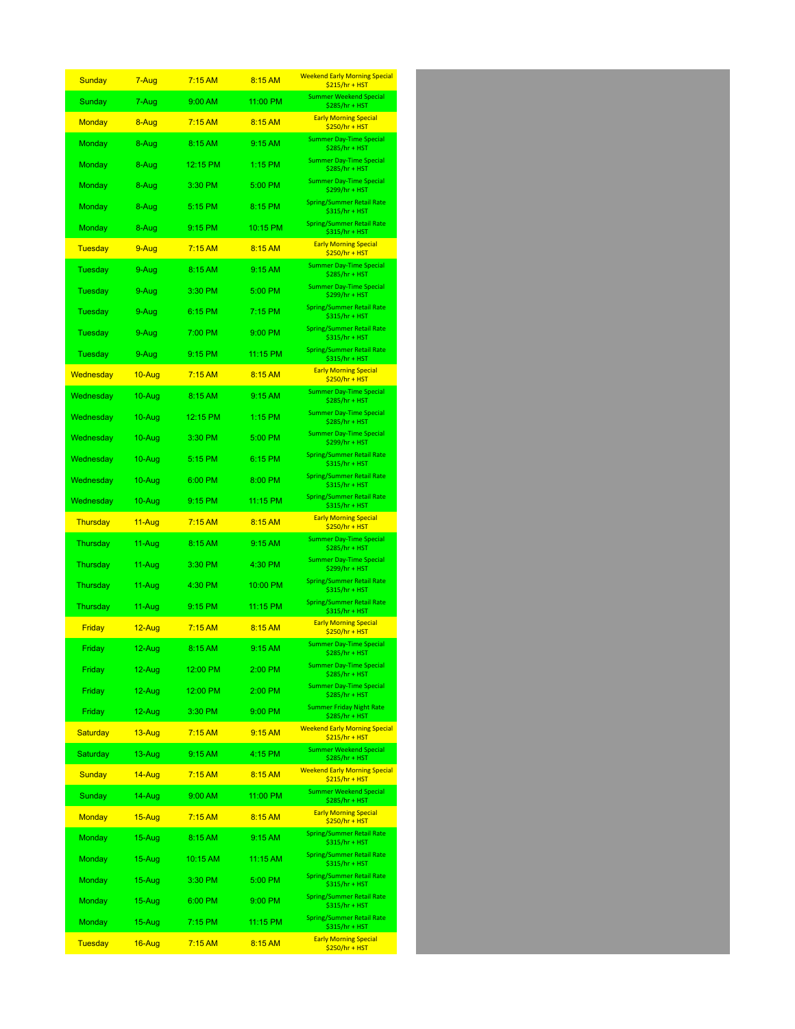| Sunday         | 7-Aug      | 7:15AM    | 8:15 AM   | <b>Weekend Early Morning Special</b><br>$$215/hr + HST$ |
|----------------|------------|-----------|-----------|---------------------------------------------------------|
| Sunday         | 7-Aug      | 9:00 AM   | 11:00 PM  | <b>Summer Weekend Special</b><br>\$285/hr + HST         |
| <b>Monday</b>  | 8-Aug      | 7:15AM    | 8:15 AM   | <b>Early Morning Special</b><br>$$250/hr + HST$         |
| Monday         | 8-Aug      | 8:15 AM   | 9:15 AM   | <b>Summer Day-Time Special</b><br>\$285/hr + HST        |
| Monday         | 8-Aug      | 12:15 PM  | $1:15$ PM | <b>Summer Day-Time Special</b><br>\$285/hr + HST        |
| Monday         | 8-Aug      | 3:30 PM   | 5:00 PM   | <b>Summer Day-Time Special</b><br>\$299/hr + HST        |
| Monday         | 8-Aug      | 5:15 PM   | 8:15 PM   | <b>Spring/Summer Retail Rate</b><br>\$315/hr + HST      |
| Monday         | 8-Aug      | 9:15 PM   | 10:15 PM  | <b>Spring/Summer Retail Rate</b><br>\$315/hr + HST      |
| <b>Tuesday</b> | 9-Aug      | 7:15AM    | 8:15 AM   | <b>Early Morning Special</b><br>\$250/hr + HST          |
| Tuesday        | 9-Aug      | 8:15 AM   | 9:15AM    | <b>Summer Day-Time Special</b><br>\$285/hr + HST        |
| Tuesday        | 9-Aug      | 3:30 PM   | 5:00 PM   | <b>Summer Day-Time Special</b><br>\$299/hr + HST        |
| Tuesday        | 9-Aug      | 6:15 PM   | 7:15 PM   | <b>Spring/Summer Retail Rate</b><br>\$315/hr + HST      |
| Tuesday        | 9-Aug      | 7:00 PM   | 9:00 PM   | <b>Spring/Summer Retail Rate</b><br>\$315/hr + HST      |
| Tuesday        | 9-Aug      | 9:15 PM   | 11:15 PM  | <b>Spring/Summer Retail Rate</b><br>\$315/hr + HST      |
| Wednesday      | 10-Aug     | 7:15AM    | 8:15 AM   | <b>Early Morning Special</b><br>\$250/hr + HST          |
| Wednesday      | 10-Aug     | 8:15 AM   | 9:15AM    | <b>Summer Day-Time Special</b><br>\$285/hr + HST        |
| Wednesday      | 10-Aug     | 12:15 PM  | 1:15 PM   | <b>Summer Day-Time Special</b><br>\$285/hr + HST        |
| Wednesday      | 10-Aug     | 3:30 PM   | 5:00 PM   | <b>Summer Day-Time Special</b><br>\$299/hr + HST        |
| Wednesday      | 10-Aug     | 5:15 PM   | 6:15 PM   | <b>Spring/Summer Retail Rate</b><br>\$315/hr + HST      |
| Wednesday      | 10-Aug     | 6:00 PM   | 8:00 PM   | <b>Spring/Summer Retail Rate</b><br>\$315/hr + HST      |
| Wednesday      | 10-Aug     | 9:15 PM   | 11:15 PM  | <b>Spring/Summer Retail Rate</b><br>\$315/hr + HST      |
| Thursday       | 11-Aug     | 7:15AM    | 8:15 AM   | <b>Early Morning Special</b><br>\$250/hr + HST          |
| Thursday       | 11-Aug     | 8:15 AM   | 9:15 AM   | <b>Summer Day-Time Special</b><br>\$285/hr + HST        |
| Thursday       | 11-Aug     | 3:30 PM   | 4:30 PM   | <b>Summer Day-Time Special</b><br>\$299/hr + HST        |
| Thursday       | 11-Aug     | 4:30 PM   | 10:00 PM  | <b>Spring/Summer Retail Rate</b><br>\$315/hr + HST      |
| Thursday       | 11-Aug     | 9:15 PM   | 11:15 PM  | <b>Spring/Summer Retail Rate</b><br>$$315/hr + HST$     |
| Friday         | $12 - Aug$ | 7:15 AM   | 8:15 AM   | <b>Early Morning Special</b><br>\$250/hr + HST          |
| Friday         | 12-Aug     | 8:15 AM   | 9:15 AM   | <b>Summer Day-Time Special</b><br>$$285/hr + HST$       |
| Friday         | 12-Aug     | 12:00 PM  | 2:00 PM   | <b>Summer Day-Time Special</b><br>\$285/hr + HST        |
| Friday         | 12-Aug     | 12:00 PM  | 2:00 PM   | <b>Summer Day-Time Special</b><br>\$285/hr + HST        |
| Friday         | $12-Aug$   | 3:30 PM   | 9:00 PM   | <b>Summer Friday Night Rate</b><br>\$285/hr + HST       |
| Saturday       | $13 - Aug$ | $7:15$ AM | 9:15 AM   | <b>Weekend Early Morning Special</b><br>$$215/hr + HST$ |
| Saturday       | 13-Aug     | 9:15 AM   | 4:15 PM   | <b>Summer Weekend Special</b><br>\$285/hr + HST         |
| Sunday         | 14-Aug     | $7:15$ AM | 8:15 AM   | <b>Weekend Early Morning Special</b><br>$$215/hr + HST$ |
| Sunday         | 14-Aug     | 9:00 AM   | 11:00 PM  | <b>Summer Weekend Special</b><br>\$285/hr + HST         |
| <b>Monday</b>  | 15-Aug     | 7:15AM    | 8:15 AM   | <b>Early Morning Special</b><br>\$250/hr + HST          |
| Monday         | 15-Aug     | 8:15 AM   | 9:15 AM   | <b>Spring/Summer Retail Rate</b><br>\$315/hr + HST      |
| Monday         | 15-Aug     | 10:15 AM  | 11:15 AM  | <b>Spring/Summer Retail Rate</b><br>\$315/hr + HST      |
| Monday         | $15-Aug$   | 3:30 PM   | 5:00 PM   | <b>Spring/Summer Retail Rate</b><br>\$315/hr + HST      |
| Monday         | $15-Aug$   | 6:00 PM   | 9:00 PM   | <b>Spring/Summer Retail Rate</b><br>\$315/hr + HST      |
| Monday         | 15-Aug     | 7:15 PM   | 11:15 PM  | <b>Spring/Summer Retail Rate</b><br>\$315/hr + HST      |
| <b>Tuesday</b> | 16-Aug     | 7:15 AM   | 8:15 AM   | <b>Early Morning Special</b><br>\$250/hr + HST          |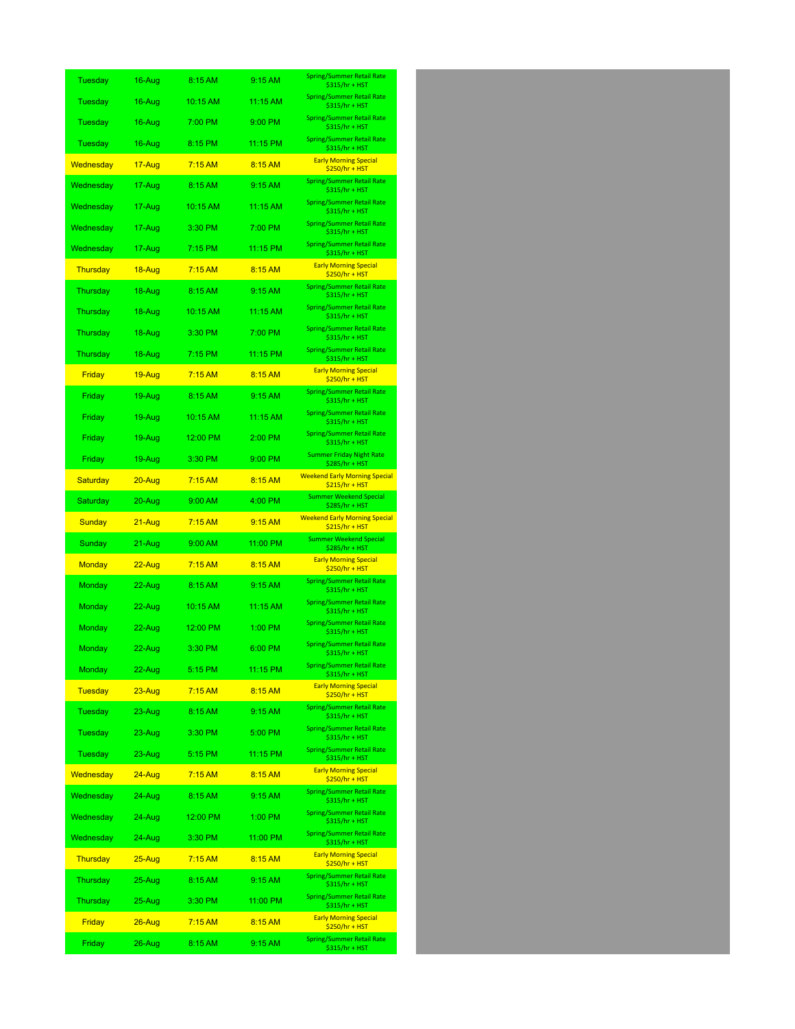| Tuesday         | 16-Aug        | 8:15 AM   | 9:15 AM  | <b>Spring/Summer Retail Rate</b><br>\$315/hr + HST      |
|-----------------|---------------|-----------|----------|---------------------------------------------------------|
| Tuesday         | 16-Aug        | 10:15 AM  | 11:15 AM | <b>Spring/Summer Retail Rate</b><br>\$315/hr + HST      |
| Tuesday         | 16-Aug        | 7:00 PM   | 9:00 PM  | Spring/Summer Retail Rate<br>\$315/hr + HST             |
| Tuesday         | 16-Aug        | 8:15 PM   | 11:15 PM | <b>Spring/Summer Retail Rate</b><br>\$315/hr + HST      |
| Wednesday       | 17-Aug        | 7:15AM    | 8:15 AM  | <b>Early Morning Special</b><br>$$250/hr + HST$         |
| Wednesday       | 17-Aug        | 8:15 AM   | 9:15 AM  | Spring/Summer Retail Rate<br>\$315/hr + HST             |
| Wednesday       | 17-Aug        | 10:15 AM  | 11:15 AM | <b>Spring/Summer Retail Rate</b><br>\$315/hr + HST      |
| Wednesday       | 17-Aug        | 3:30 PM   | 7:00 PM  | Spring/Summer Retail Rate<br>\$315/hr + HST             |
| Wednesday       | 17-Aug        | 7:15 PM   | 11:15 PM | Spring/Summer Retail Rate<br>\$315/hr + HST             |
| Thursday        | 18-Aug        | 7:15AM    | 8:15 AM  | <b>Early Morning Special</b><br>\$250/hr + HST          |
| Thursday        | 18-Aug        | 8:15 AM   | 9:15 AM  | <b>Spring/Summer Retail Rate</b><br>\$315/hr + HST      |
| Thursday        | 18-Aug        | 10:15 AM  | 11:15 AM | <b>Spring/Summer Retail Rate</b><br>\$315/hr + HST      |
| Thursday        | 18-Aug        | 3:30 PM   | 7:00 PM  | <b>Spring/Summer Retail Rate</b><br>\$315/hr + HST      |
| Thursday        | 18-Aug        | $7:15$ PM | 11:15 PM | Spring/Summer Retail Rate<br>\$315/hr + HST             |
| Friday          | <u>19-Aug</u> | 7:15AM    | 8:15 AM  | <b>Early Morning Special</b><br>$$250/hr + HST$         |
| Friday          | 19-Aug        | 8:15 AM   | 9:15 AM  | <b>Spring/Summer Retail Rate</b><br>\$315/hr + HST      |
| Friday          | 19-Aug        | 10:15 AM  | 11:15 AM | Spring/Summer Retail Rate<br>\$315/hr + HST             |
| Friday          | 19-Aug        | 12:00 PM  | 2:00 PM  | <b>Spring/Summer Retail Rate</b><br>\$315/hr + HST      |
| Friday          | 19-Aug        | 3:30 PM   | 9:00 PM  | <b>Summer Friday Night Rate</b><br>\$285/hr + HST       |
| <b>Saturday</b> | 20-Aug        | 7:15AM    | 8:15 AM  | <b>Weekend Early Morning Special</b><br>$$215/hr + HST$ |
| Saturday        | 20-Aug        | 9:00 AM   | 4:00 PM  | <b>Summer Weekend Special</b><br>\$285/hr + HST         |
|                 |               |           |          |                                                         |
| Sunday          | $21 - Aug$    | 7:15AM    | 9:15 AM  | <b>Weekend Early Morning Special</b><br>$$215/hr + HST$ |
| Sunday          | 21-Aug        | 9:00 AM   | 11:00 PM | <b>Summer Weekend Special</b><br>\$285/hr + HST         |
| <b>Monday</b>   | 22-Aug        | $7:15$ AM | 8:15 AM  | <b>Early Morning Special</b><br>\$250/hr + HST          |
| Monday          | 22-Aug        | 8:15 AM   | 9:15 AM  | <b>Spring/Summer Retail Rate</b><br>\$315/hr + HST      |
| Monday          | 22-Aug        | 10:15 AM  | 11:15 AM | Spring/Summer Retail Rate<br>\$315/hr + HST             |
| Monday          | 22-Aug        | 12:00 PM  | 1:00 PM  | <b>Spring/Summer Retail Rate</b><br>\$315/hr + HST      |
| Monday          | 22-Aug        | 3:30 PM   | 6:00 PM  | Spring/Summer Retail Rate<br><u> \$315/hr + нът</u>     |
| Monday          | 22-Aug        | 5:15 PM   | 11:15 PM | <b>Spring/Summer Retail Rate</b><br>\$315/hr + HST      |
| <b>Tuesday</b>  | $23 - Aug$    | $7:15$ AM | 8:15 AM  | <b>Early Morning Special</b><br>\$250/hr + HST          |
| Tuesday         | 23-Aug        | 8:15 AM   | 9:15 AM  | Spring/Summer Retail Rate<br>\$315/hr + HST             |
| Tuesday         | 23-Aug        | 3:30 PM   | 5:00 PM  | <b>Spring/Summer Retail Rate</b><br>\$315/hr + HST      |
| Tuesday         | 23-Aug        | 5:15 PM   | 11:15 PM | <b>Spring/Summer Retail Rate</b><br>\$315/hr + HST      |
| Wednesday       | $24 - Aug$    | $7:15$ AM | 8:15 AM  | <b>Early Morning Special</b><br>\$250/hr + HST          |
| Wednesday       | 24-Aug        | 8:15 AM   | 9:15 AM  | <b>Spring/Summer Retail Rate</b><br>\$315/hr + HST      |
| Wednesday       | 24-Aug        | 12:00 PM  | 1:00 PM  | <b>Spring/Summer Retail Rate</b><br>\$315/hr + HST      |
| Wednesday       | 24-Aug        | 3:30 PM   | 11:00 PM | <b>Spring/Summer Retail Rate</b><br>\$315/hr + HST      |
| <b>Thursday</b> | $25 - Aug$    | 7:15AM    | 8:15 AM  | <b>Early Morning Special</b><br>\$250/hr + HST          |
| Thursday        | 25-Aug        | 8:15 AM   | 9:15 AM  | <b>Spring/Summer Retail Rate</b><br>\$315/hr + HST      |
| Thursday        | 25-Aug        | 3:30 PM   | 11:00 PM | <b>Spring/Summer Retail Rate</b><br>\$315/hr + HST      |
| Friday          | $26 - Aug$    | 7:15AM    | 8:15 AM  | <b>Early Morning Special</b><br>\$250/hr + HST          |